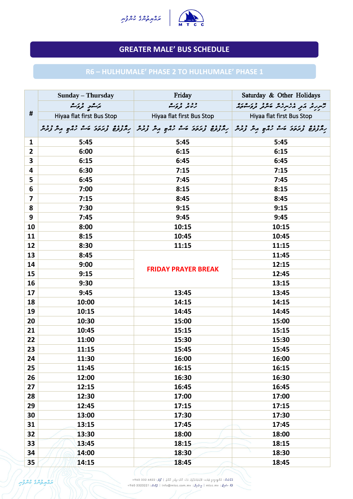|                | <b>Sunday – Thursday</b>  | Friday                                                                                                        | Saturday & Other Holidays           |
|----------------|---------------------------|---------------------------------------------------------------------------------------------------------------|-------------------------------------|
|                | بزمشرد وثرث               | د د د در ه<br>رسمه تروگ                                                                                       | ציינו א הא הליינו א ביני כל הפריים. |
| #              | Hiyaa flat first Bus Stop | Hiyaa flat first Bus Stop                                                                                     | Hiyaa flat first Bus Stop           |
|                |                           | ر مدد ده د در ده ده و مرسم دره در در در در در در در مرسم در در مرکز با در در در در در در در در در در در در در |                                     |
| $\mathbf{1}$   | 5:45                      | 5:45                                                                                                          | 5:45                                |
| $\overline{2}$ | 6:00                      | 6:15                                                                                                          | 6:15                                |
| 3              | 6:15                      | 6:45                                                                                                          | 6:45                                |
| 4              | 6:30                      | 7:15                                                                                                          | 7:15                                |
| 5              | 6:45                      | 7:45                                                                                                          | 7:45                                |
| 6              | 7:00                      | 8:15                                                                                                          | 8:15                                |
| 7              | 7:15                      | 8:45                                                                                                          | 8:45                                |
| 8              | 7:30                      | 9:15                                                                                                          | 9:15                                |
| 9              | 7:45                      | 9:45                                                                                                          | 9:45                                |
| 10             | 8:00                      | 10:15                                                                                                         | 10:15                               |
| 11             | 8:15                      | 10:45                                                                                                         | 10:45                               |
| 12             | 8:30                      | 11:15                                                                                                         | 11:15                               |
| 13             | 8:45                      |                                                                                                               | 11:45                               |
| 14             | 9:00                      | <b>FRIDAY PRAYER BREAK</b>                                                                                    | 12:15                               |
| 15             | 9:15                      |                                                                                                               | 12:45                               |
| 16             | 9:30                      |                                                                                                               | 13:15                               |
| 17             | 9:45                      | 13:45                                                                                                         | 13:45                               |
| 18             | 10:00                     | 14:15                                                                                                         | 14:15                               |
| 19             | 10:15                     | 14:45                                                                                                         | 14:45                               |
| 20             | 10:30                     | 15:00                                                                                                         | 15:00                               |
| 21             | 10:45                     | 15:15                                                                                                         | 15:15                               |
| 22             | 11:00                     | 15:30                                                                                                         | 15:30                               |
| 23             | 11:15                     | 15:45                                                                                                         | 15:45                               |
| 24             | 11:30                     | 16:00                                                                                                         | 16:00                               |
| 25             | 11:45                     | 16:15                                                                                                         | 16:15                               |
| 26             | 12:00                     | 16:30                                                                                                         | 16:30                               |
| 27             | 12:15                     | 16:45                                                                                                         | 16:45                               |
| 28             | 12:30                     | 17:00                                                                                                         | 17:00                               |
| 29             | 12:45                     | 17:15                                                                                                         | 17:15                               |
| 30             | 13:00                     | 17:30                                                                                                         | 17:30                               |
| 31             | 13:15                     | 17:45                                                                                                         | 17:45                               |
| 32             | 13:30                     | 18:00                                                                                                         | 18:00                               |
| 33             | 13:45                     | 18:15                                                                                                         | 18:15                               |
| 34             | 14:00                     | 18:30                                                                                                         | 18:30                               |
| 35             | 14:15                     | 18:45                                                                                                         | 18:45                               |



## **GREATER MALE' BUS SCHEDULE**

## **R6 – HULHUMALE' PHASE 2 TO HULHUMALE' PHASE 1**